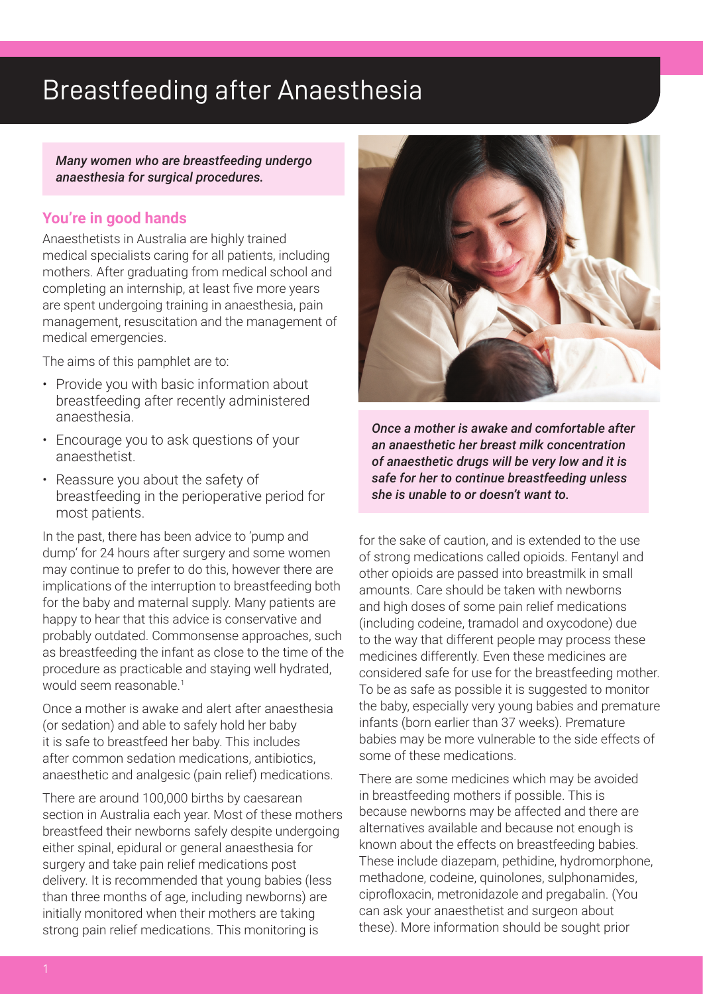## Breastfeeding after Anaesthesia

*Many women who are breastfeeding undergo anaesthesia for surgical procedures.*

## **You're in good hands**

Anaesthetists in Australia are highly trained medical specialists caring for all patients, including mothers. After graduating from medical school and completing an internship, at least five more years are spent undergoing training in anaesthesia, pain management, resuscitation and the management of medical emergencies.

The aims of this pamphlet are to:

- Provide you with basic information about breastfeeding after recently administered anaesthesia.
- Encourage you to ask questions of your anaesthetist.
- Reassure you about the safety of breastfeeding in the perioperative period for most patients.

In the past, there has been advice to 'pump and dump' for 24 hours after surgery and some women may continue to prefer to do this, however there are implications of the interruption to breastfeeding both for the baby and maternal supply. Many patients are happy to hear that this advice is conservative and probably outdated. Commonsense approaches, such as breastfeeding the infant as close to the time of the procedure as practicable and staying well hydrated, would seem reasonable.<sup>1</sup>

Once a mother is awake and alert after anaesthesia (or sedation) and able to safely hold her baby it is safe to breastfeed her baby. This includes after common sedation medications, antibiotics, anaesthetic and analgesic (pain relief) medications.

There are around 100,000 births by caesarean section in Australia each year. Most of these mothers breastfeed their newborns safely despite undergoing either spinal, epidural or general anaesthesia for surgery and take pain relief medications post delivery. It is recommended that young babies (less than three months of age, including newborns) are initially monitored when their mothers are taking strong pain relief medications. This monitoring is



*Once a mother is awake and comfortable after an anaesthetic her breast milk concentration of anaesthetic drugs will be very low and it is safe for her to continue breastfeeding unless she is unable to or doesn't want to.* 

for the sake of caution, and is extended to the use of strong medications called opioids. Fentanyl and other opioids are passed into breastmilk in small amounts. Care should be taken with newborns and high doses of some pain relief medications (including codeine, tramadol and oxycodone) due to the way that different people may process these medicines differently. Even these medicines are considered safe for use for the breastfeeding mother. To be as safe as possible it is suggested to monitor the baby, especially very young babies and premature infants (born earlier than 37 weeks). Premature babies may be more vulnerable to the side effects of some of these medications.

There are some medicines which may be avoided in breastfeeding mothers if possible. This is because newborns may be affected and there are alternatives available and because not enough is known about the effects on breastfeeding babies. These include diazepam, pethidine, hydromorphone, methadone, codeine, quinolones, sulphonamides, ciprofloxacin, metronidazole and pregabalin. (You can ask your anaesthetist and surgeon about these). More information should be sought prior